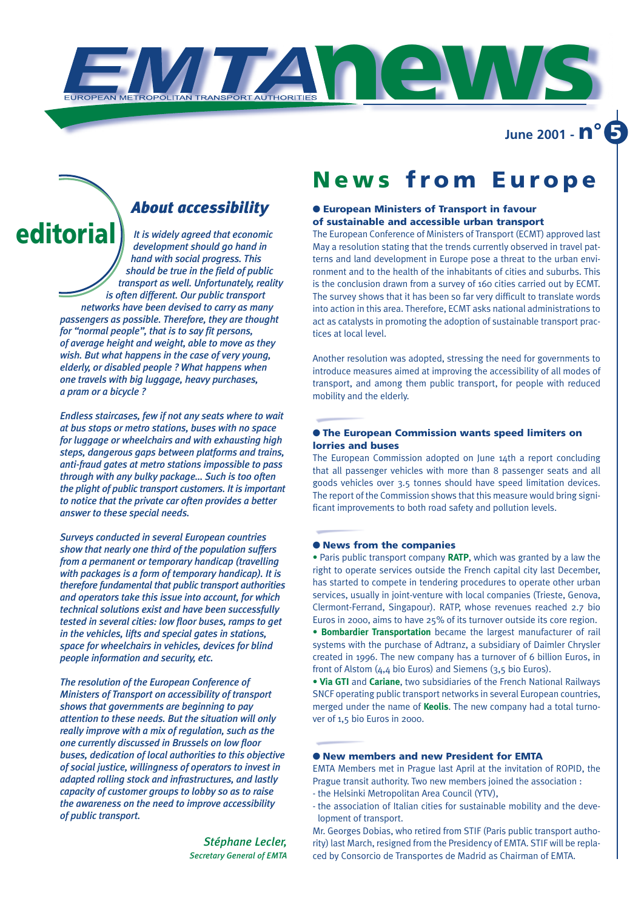**June 2001 - n° 5**

## *About accessibility*

*It is widely agreed that economic development should go hand in hand with social progress. This should be true in the field of public transport as well. Unfortunately, reality is often different. Our public transport networks have been devised to carry as many passengers as possible. Therefore, they are thought for "normal people", that is to say fit persons, of average height and weight, able to move as they wish. But what happens in the case of very young, elderly, or disabled people ? What happens when one travels with big luggage, heavy purchases, a pram or a bicycle ?*  **editoria** 

> *Endless staircases, few if not any seats where to wait at bus stops or metro stations, buses with no space for luggage or wheelchairs and with exhausting high steps, dangerous gaps between platforms and trains, anti-fraud gates at metro stations impossible to pass through with any bulky package… Such is too often the plight of public transport customers. It is important to notice that the private car often provides a better answer to these special needs.*

> *Surveys conducted in several European countries show that nearly one third of the population suffers from a permanent or temporary handicap (travelling with packages is a form of temporary handicap). It is therefore fundamental that public transport authorities and operators take this issue into account, for which technical solutions exist and have been successfully tested in several cities: low floor buses, ramps to get in the vehicles, lifts and special gates in stations, space for wheelchairs in vehicles, devices for blind people information and security, etc.*

> *The resolution of the European Conference of Ministers of Transport on accessibility of transport shows that governments are beginning to pay attention to these needs. But the situation will only really improve with a mix of regulation, such as the one currently discussed in Brussels on low floor buses, dedication of local authorities to this objective of social justice, willingness of operators to invest in adapted rolling stock and infrastructures, and lastly capacity of customer groups to lobby so as to raise the awareness on the need to improve accessibility of public transport.*

> > *Stéphane Lecler, Secretary General of EMTA*

## **News from Europe**

#### ● **European Ministers of Transport in favour of sustainable and accessible urban transport**

**news**

The European Conference of Ministers of Transport (ECMT) approved last May a resolution stating that the trends currently observed in travel patterns and land development in Europe pose a threat to the urban environment and to the health of the inhabitants of cities and suburbs. This is the conclusion drawn from a survey of 160 cities carried out by ECMT. The survey shows that it has been so far very difficult to translate words into action in this area. Therefore, ECMT asks national administrations to act as catalysts in promoting the adoption of sustainable transport practices at local level.

Another resolution was adopted, stressing the need for governments to introduce measures aimed at improving the accessibility of all modes of transport, and among them public transport, for people with reduced mobility and the elderly.

#### ● **The European Commission wants speed limiters on lorries and buses**

The European Commission adopted on June 14th a report concluding that all passenger vehicles with more than 8 passenger seats and all goods vehicles over 3.5 tonnes should have speed limitation devices. The report of the Commission shows that this measure would bring significant improvements to both road safety and pollution levels.

#### ● **News from the companies**

• Paris public transport company **RATP**, which was granted by a law the right to operate services outside the French capital city last December, has started to compete in tendering procedures to operate other urban services, usually in joint-venture with local companies (Trieste, Genova, Clermont-Ferrand, Singapour). RATP, whose revenues reached 2.7 bio Euros in 2000, aims to have 25% of its turnover outside its core region. • **Bombardier Transportation** became the largest manufacturer of rail systems with the purchase of Adtranz, a subsidiary of Daimler Chrysler created in 1996. The new company has a turnover of 6 billion Euros, in

front of Alstom (4,4 bio Euros) and Siemens (3,5 bio Euros). • **Via GTI** and **Cariane**, two subsidiaries of the French National Railways SNCF operating public transport networks in several European countries, merged under the name of **Keolis**. The new company had a total turnover of 1,5 bio Euros in 2000.

#### ● **New members and new President for EMTA**

EMTA Members met in Prague last April at the invitation of ROPID, the Prague transit authority. Two new members joined the association :

- the Helsinki Metropolitan Area Council (YTV),
- the association of Italian cities for sustainable mobility and the development of transport.

Mr. Georges Dobias, who retired from STIF (Paris public transport authority) last March, resigned from the Presidency of EMTA. STIF will be replaced by Consorcio de Transportes de Madrid as Chairman of EMTA.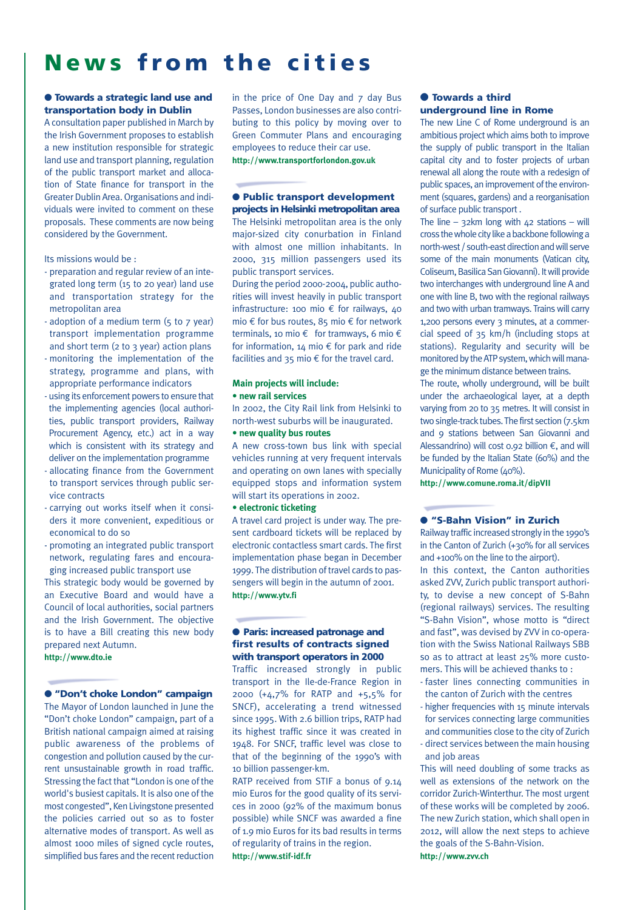# **News from the cities**

#### ● **Towards a strategic land use and transportation body in Dublin**

A consultation paper published in March by the Irish Government proposes to establish a new institution responsible for strategic land use and transport planning, regulation of the public transport market and allocation of State finance for transport in the Greater Dublin Area.Organisations and individuals were invited to comment on these proposals. These comments are now being considered by the Government.

#### Its missions would be :

- preparation and regular review of an integrated long term (15 to 20 year) land use and transportation strategy for the metropolitan area
- adoption of a medium term (5 to 7 year) transport implementation programme and short term ( $2$  to  $3$  year) action plans
- monitoring the implementation of the strategy, programme and plans, with appropriate performance indicators
- using its enforcement powers to ensure that the implementing agencies (local authorities, public transport providers, Railway Procurement Agency, etc.) act in a way which is consistent with its strategy and deliver on the implementation programme
- allocating finance from the Government to transport services through public service contracts
- carrying out works itself when it considers it more convenient, expeditious or economical to do so
- promoting an integrated public transport network, regulating fares and encouraging increased public transport use

This strategic body would be governed by an Executive Board and would have a Council of local authorities, social partners and the Irish Government. The objective is to have a Bill creating this new body prepared next Autumn.

### **http://www.dto.ie**

#### ● **"Don't choke London" campaign**

The Mayor of London launched in June the "Don't choke London" campaign, part of a British national campaign aimed at raising public awareness of the problems of congestion and pollution caused by the current unsustainable growth in road traffic. Stressing the fact that "London is one of the world's busiest capitals. It is also one of the most congested", Ken Livingstone presented the policies carried out so as to foster alternative modes of transport. As well as almost 1000 miles of signed cycle routes, simplified bus fares and the recent reduction

in the price of One Day and 7 day Bus Passes, London businesses are also contributing to this policy by moving over to Green Commuter Plans and encouraging employees to reduce their car use. **http://www.transportforlondon.gov.uk**

#### ● **Public transport development projects in Helsinki metropolitan area**

The Helsinki metropolitan area is the only major-sized city conurbation in Finland with almost one million inhabitants. In 2000, 315 million passengers used its public transport services.

During the period 2000-2004, public authorities will invest heavily in public transport infrastructure: 100 mio € for railways, 40 mio € for bus routes, 85 mio € for network terminals, 10 mio  $\epsilon$  for tramways, 6 mio  $\epsilon$ for information,  $14 \text{ mi} \in \text{for park}$  and ride facilities and 35 mio  $\epsilon$  for the travel card.

#### **Main projects will include:**

#### **• new rail services**

In 2002, the City Rail link from Helsinki to north-west suburbs will be inaugurated.

#### **• new quality bus routes**

A new cross-town bus link with special vehicles running at very frequent intervals and operating on own lanes with specially equipped stops and information system will start its operations in 2002.

#### **• electronic ticketing**

A travel card project is under way. The present cardboard tickets will be replaced by electronic contactless smart cards. The first implementation phase began in December 1999. The distribution of travel cards to passengers will begin in the autumn of 2001. **http://www.ytv.fi**

#### ● **Paris: increased patronage and first results of contracts signed with transport operators in 2000**

Traffic increased strongly in public transport in the Ile-de-France Region in 2000 (+4,7% for RATP and +5,5% for SNCF), accelerating a trend witnessed since 1995. With 2.6 billion trips, RATP had its highest traffic since it was created in 1948. For SNCF, traffic level was close to that of the beginning of the 1990's with 10 billion passenger-km.

RATP received from STIF a bonus of 9.14 mio Euros for the good quality of its services in 2000 (92% of the maximum bonus possible) while SNCF was awarded a fine of 1.9 mio Euros for its bad results in terms of regularity of trains in the region. **http://www.stif-idf.fr**

#### ● **Towards a third underground line in Rome**

The new Line C of Rome underground is an ambitious project which aims both to improve the supply of public transport in the Italian capital city and to foster projects of urban renewal all along the route with a redesign of public spaces, an improvement of the environment (squares, gardens) and a reorganisation of surface public transport .

The line – 32km long with  $42$  stations – will cross the whole city like a backbone following a north-west / south-east direction and will serve some of the main monuments (Vatican city, Coliseum, Basilica San Giovanni). It will provide two interchanges with underground line A and one with line B, two with the regional railways and two with urban tramways. Trains will carry 1,200 persons every 3 minutes, at a commercial speed of 35 km/h (including stops at stations). Regularity and security will be monitored by the ATPsystem, which will manage the minimum distance between trains.

The route, wholly underground, will be built under the archaeological layer, at a depth varying from 20 to 35 metres. It will consist in two single-track tubes. The first section (7.5km and 9 stations between San Giovanni and Alessandrino) will cost 0.92 billion  $€$ , and will be funded by the Italian State (60%) and the Municipality of Rome (40%).

**http://www.comune.roma.it/dipVII**

#### ● **"S-Bahn Vision" in Zurich**

Railway traffic increased strongly in the 1990's in the Canton of Zurich (+30% for all services and +100% on the line to the airport). In this context, the Canton authorities asked ZVV, Zurich public transport authori-

ty, to devise a new concept of S-Bahn (regional railways) services. The resulting "S-Bahn Vision", whose motto is "direct and fast", was devised by ZVV in co-operation with the Swiss National Railways SBB so as to attract at least 25% more customers. This will be achieved thanks to :

- faster lines connecting communities in the canton of Zurich with the centres
- higher frequencies with 15 minute intervals for services connecting large communities and communities close to the city of Zurich
- direct services between the main housing and job areas

This will need doubling of some tracks as well as extensions of the network on the corridor Zurich-Winterthur. The most urgent of these works will be completed by 2006. The new Zurich station, which shall open in 2012, will allow the next steps to achieve the goals of the S-Bahn-Vision. **http://www.zvv.ch**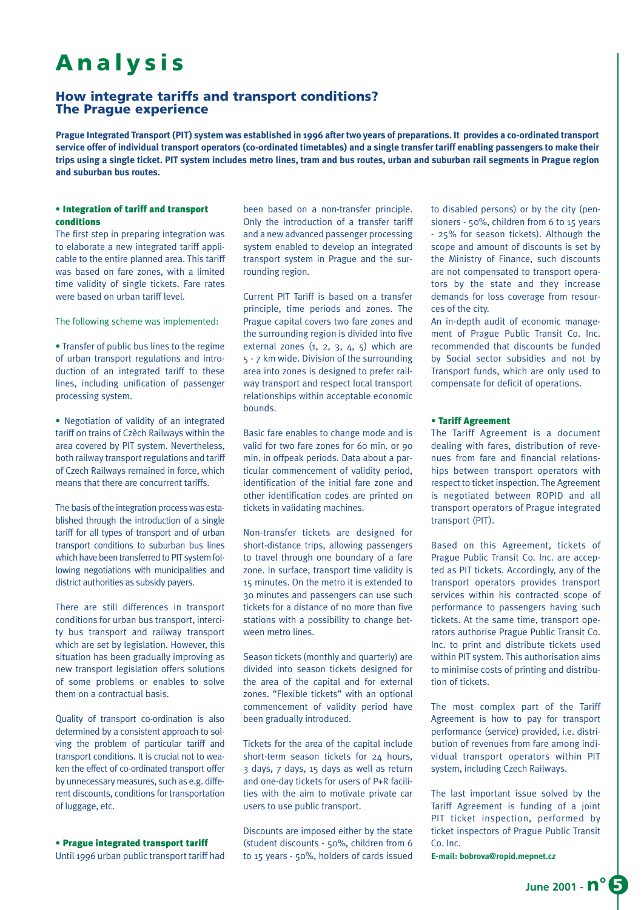# **Analysis**

### **How integrate tariffs and transport conditions? The Prague experience**

**Prague Integrated Transport (PIT) system was established in 1996 after two years of preparations. It provides a co-ordinated transport service offer of individual transport operators (co-ordinated timetables) and a single transfer tariff enabling passengers to make their trips using a single ticket. PIT system includes metro lines, tram and bus routes, urban and suburban rail segments in Prague region and suburban bus routes.**

#### • Integration of tariff and transport conditions

The first step in preparing integration was to elaborate a new integrated tariff applicable to the entire planned area. This tariff was based on fare zones, with a limited time validity of single tickets. Fare rates were based on urban tariff level.

The following scheme was implemented:

• Transfer of public bus lines to the regime of urban transport regulations and introduction of an integrated tariff to these lines, including unification of passenger processing system.

• Negotiation of validity of an integrated tariff on trains of Czèch Railways within the area covered by PIT system. Nevertheless, both railway transport regulations and tariff of Czech Railways remained in force, which means that there are concurrent tariffs.

The basis of the integration process was established through the introduction of a single tariff for all types of transport and of urban transport conditions to suburban bus lines which have been transferred to PIT system following negotiations with municipalities and district authorities as subsidy payers.

There are still differences in transport conditions for urban bus transport, intercity bus transport and railway transport which are set by legislation. However, this situation has been gradually improving as new transport legislation offers solutions of some problems or enables to solve them on a contractual basis.

Quality of transport co-ordination is also determined by a consistent approach to solving the problem of particular tariff and transport conditions. It is crucial not to weaken the effect of co-ordinated transport offer by unnecessary measures, such as e.g. different discounts, conditions for transportation of luggage, etc.

### • Prague integrated transport tariff

Until 1996 urban public transport tariff had

been based on a non-transfer principle. Only the introduction of a transfer tariff and a new advanced passenger processing system enabled to develop an integrated transport system in Prague and the surrounding region.

Current PIT Tariff is based on a transfer principle, time periods and zones. The Prague capital covers two fare zones and the surrounding region is divided into five external zones  $(1, 2, 3, 4, 5)$  which are 5 - 7 km wide. Division of the surrounding area into zones is designed to prefer railway transport and respect local transport relationships within acceptable economic bounds.

Basic fare enables to change mode and is valid for two fare zones for 60 min. or 90 min. in offpeak periods. Data about a particular commencement of validity period, identification of the initial fare zone and other identification codes are printed on tickets in validating machines.

Non-transfer tickets are designed for short-distance trips, allowing passengers to travel through one boundary of a fare zone. In surface, transport time validity is 15 minutes. On the metro it is extended to 30 minutes and passengers can use such tickets for a distance of no more than five stations with a possibility to change between metro lines.

Season tickets (monthly and quarterly) are divided into season tickets designed for the area of the capital and for external zones. "Flexible tickets" with an optional commencement of validity period have been gradually introduced.

Tickets for the area of the capital include short-term season tickets for 24 hours, 3 days, 7 days, 15 days as well as return and one-day tickets for users of P+R facilities with the aim to motivate private car users to use public transport.

Discounts are imposed either by the state (student discounts - 50%, children from 6 to 15 years - 50%, holders of cards issued

to disabled persons) or by the city (pensioners - 50%, children from 6 to 15 years - 25% for season tickets). Although the scope and amount of discounts is set by the Ministry of Finance, such discounts are not compensated to transport operators by the state and they increase demands for loss coverage from resources of the city.

An in-depth audit of economic management of Prague Public Transit Co. Inc. recommended that discounts be funded by Social sector subsidies and not by Transport funds, which are only used to compensate for deficit of operations.

#### • Tariff Agreement

The Tariff Agreement is a document dealing with fares, distribution of revenues from fare and financial relationships between transport operators with respect to ticket inspection. The Agreement is negotiated between ROPID and all transport operators of Prague integrated transport (PIT).

Based on this Agreement, tickets of Prague Public Transit Co. Inc. are accepted as PIT tickets. Accordingly, any of the transport operators provides transport services within his contracted scope of performance to passengers having such tickets. At the same time, transport operators authorise Prague Public Transit Co. Inc. to print and distribute tickets used within PIT system. This authorisation aims to minimise costs of printing and distribution of tickets.

The most complex part of the Tariff Agreement is how to pay for transport performance (service) provided, i.e. distribution of revenues from fare among individual transport operators within PIT system, including Czech Railways.

The last important issue solved by the Tariff Agreement is funding of a joint PIT ticket inspection, performed by ticket inspectors of Prague Public Transit Co. Inc.

**E-mail: bobrova@ropid.mepnet.cz**